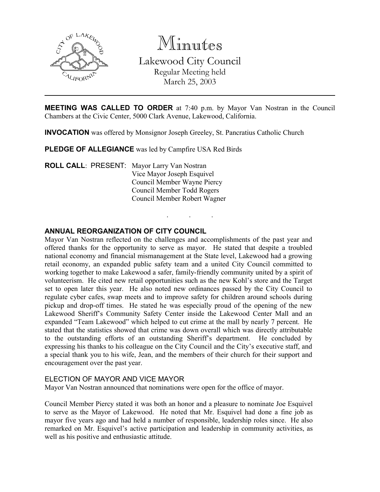

Minutes

Lakewood City Council Regular Meeting held March 25, 2003

MEETING WAS CALLED TO ORDER at 7:40 p.m. by Mayor Van Nostran in the Council Chambers at the Civic Center, 5000 Clark Avenue, Lakewood, California.

. . .

INVOCATION was offered by Monsignor Joseph Greeley, St. Pancratius Catholic Church

PLEDGE OF ALLEGIANCE was led by Campfire USA Red Birds

ROLL CALL: PRESENT: Mayor Larry Van Nostran Vice Mayor Joseph Esquivel Council Member Wayne Piercy Council Member Todd Rogers Council Member Robert Wagner

## ANNUAL REORGANIZATION OF CITY COUNCIL

Mayor Van Nostran reflected on the challenges and accomplishments of the past year and offered thanks for the opportunity to serve as mayor. He stated that despite a troubled national economy and financial mismanagement at the State level, Lakewood had a growing retail economy, an expanded public safety team and a united City Council committed to working together to make Lakewood a safer, family-friendly community united by a spirit of volunteerism. He cited new retail opportunities such as the new Kohl's store and the Target set to open later this year. He also noted new ordinances passed by the City Council to regulate cyber cafes, swap meets and to improve safety for children around schools during pickup and drop-off times. He stated he was especially proud of the opening of the new Lakewood Sheriff's Community Safety Center inside the Lakewood Center Mall and an expanded "Team Lakewood" which helped to cut crime at the mall by nearly 7 percent. He stated that the statistics showed that crime was down overall which was directly attributable to the outstanding efforts of an outstanding Sheriff's department. He concluded by expressing his thanks to his colleague on the City Council and the City's executive staff, and a special thank you to his wife, Jean, and the members of their church for their support and encouragement over the past year.

## ELECTION OF MAYOR AND VICE MAYOR

Mayor Van Nostran announced that nominations were open for the office of mayor.

Council Member Piercy stated it was both an honor and a pleasure to nominate Joe Esquivel to serve as the Mayor of Lakewood. He noted that Mr. Esquivel had done a fine job as mayor five years ago and had held a number of responsible, leadership roles since. He also remarked on Mr. Esquivel's active participation and leadership in community activities, as well as his positive and enthusiastic attitude.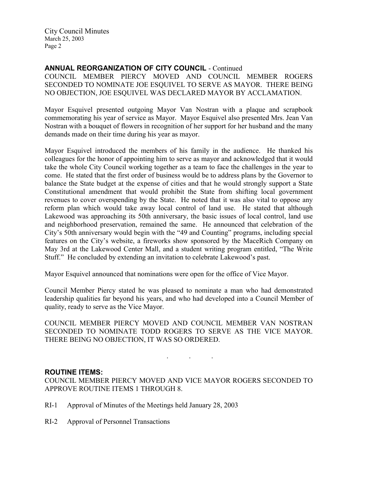City Council Minutes March 25, 2003 Page 2

#### ANNUAL REORGANIZATION OF CITY COUNCIL - Continued

COUNCIL MEMBER PIERCY MOVED AND COUNCIL MEMBER ROGERS SECONDED TO NOMINATE JOE ESQUIVEL TO SERVE AS MAYOR. THERE BEING NO OBJECTION, JOE ESQUIVEL WAS DECLARED MAYOR BY ACCLAMATION.

Mayor Esquivel presented outgoing Mayor Van Nostran with a plaque and scrapbook commemorating his year of service as Mayor. Mayor Esquivel also presented Mrs. Jean Van Nostran with a bouquet of flowers in recognition of her support for her husband and the many demands made on their time during his year as mayor.

Mayor Esquivel introduced the members of his family in the audience. He thanked his colleagues for the honor of appointing him to serve as mayor and acknowledged that it would take the whole City Council working together as a team to face the challenges in the year to come. He stated that the first order of business would be to address plans by the Governor to balance the State budget at the expense of cities and that he would strongly support a State Constitutional amendment that would prohibit the State from shifting local government revenues to cover overspending by the State. He noted that it was also vital to oppose any reform plan which would take away local control of land use. He stated that although Lakewood was approaching its 50th anniversary, the basic issues of local control, land use and neighborhood preservation, remained the same. He announced that celebration of the City's 50th anniversary would begin with the "49 and Counting" programs, including special features on the City's website, a fireworks show sponsored by the MaceRich Company on May 3rd at the Lakewood Center Mall, and a student writing program entitled, "The Write Stuff." He concluded by extending an invitation to celebrate Lakewood's past.

Mayor Esquivel announced that nominations were open for the office of Vice Mayor.

Council Member Piercy stated he was pleased to nominate a man who had demonstrated leadership qualities far beyond his years, and who had developed into a Council Member of quality, ready to serve as the Vice Mayor.

COUNCIL MEMBER PIERCY MOVED AND COUNCIL MEMBER VAN NOSTRAN SECONDED TO NOMINATE TODD ROGERS TO SERVE AS THE VICE MAYOR. THERE BEING NO OBJECTION, IT WAS SO ORDERED.

. . .

#### ROUTINE ITEMS:

COUNCIL MEMBER PIERCY MOVED AND VICE MAYOR ROGERS SECONDED TO APPROVE ROUTINE ITEMS 1 THROUGH 8.

- RI-1 Approval of Minutes of the Meetings held January 28, 2003
- RI-2 Approval of Personnel Transactions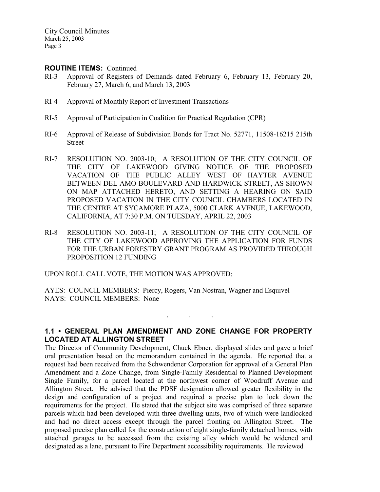City Council Minutes March 25, 2003 Page 3

#### ROUTINE ITEMS: Continued

- RI-3 Approval of Registers of Demands dated February 6, February 13, February 20, February 27, March 6, and March 13, 2003
- RI-4 Approval of Monthly Report of Investment Transactions
- RI-5 Approval of Participation in Coalition for Practical Regulation (CPR)
- RI-6 Approval of Release of Subdivision Bonds for Tract No. 52771, 11508-16215 215th Street
- RI-7 RESOLUTION NO. 2003-10; A RESOLUTION OF THE CITY COUNCIL OF THE CITY OF LAKEWOOD GIVING NOTICE OF THE PROPOSED VACATION OF THE PUBLIC ALLEY WEST OF HAYTER AVENUE BETWEEN DEL AMO BOULEVARD AND HARDWICK STREET, AS SHOWN ON MAP ATTACHED HERETO, AND SETTING A HEARING ON SAID PROPOSED VACATION IN THE CITY COUNCIL CHAMBERS LOCATED IN THE CENTRE AT SYCAMORE PLAZA, 5000 CLARK AVENUE, LAKEWOOD, CALIFORNIA, AT 7:30 P.M. ON TUESDAY, APRIL 22, 2003
- RI-8 RESOLUTION NO. 2003-11; A RESOLUTION OF THE CITY COUNCIL OF THE CITY OF LAKEWOOD APPROVING THE APPLICATION FOR FUNDS FOR THE URBAN FORESTRY GRANT PROGRAM AS PROVIDED THROUGH PROPOSITION 12 FUNDING

UPON ROLL CALL VOTE, THE MOTION WAS APPROVED:

AYES: COUNCIL MEMBERS: Piercy, Rogers, Van Nostran, Wagner and Esquivel NAYS: COUNCIL MEMBERS: None

# 1.1 • GENERAL PLAN AMENDMENT AND ZONE CHANGE FOR PROPERTY LOCATED AT ALLINGTON STREET

. . .

The Director of Community Development, Chuck Ebner, displayed slides and gave a brief oral presentation based on the memorandum contained in the agenda. He reported that a request had been received from the Schwendener Corporation for approval of a General Plan Amendment and a Zone Change, from Single-Family Residential to Planned Development Single Family, for a parcel located at the northwest corner of Woodruff Avenue and Allington Street. He advised that the PDSF designation allowed greater flexibility in the design and configuration of a project and required a precise plan to lock down the requirements for the project. He stated that the subject site was comprised of three separate parcels which had been developed with three dwelling units, two of which were landlocked and had no direct access except through the parcel fronting on Allington Street. The proposed precise plan called for the construction of eight single-family detached homes, with attached garages to be accessed from the existing alley which would be widened and designated as a lane, pursuant to Fire Department accessibility requirements. He reviewed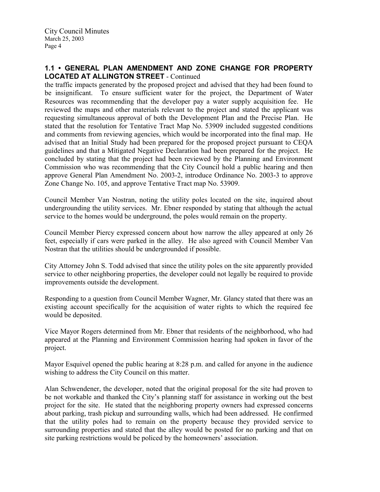# 1.1 • GENERAL PLAN AMENDMENT AND ZONE CHANGE FOR PROPERTY LOCATED AT ALLINGTON STREET - Continued

the traffic impacts generated by the proposed project and advised that they had been found to be insignificant. To ensure sufficient water for the project, the Department of Water Resources was recommending that the developer pay a water supply acquisition fee. He reviewed the maps and other materials relevant to the project and stated the applicant was requesting simultaneous approval of both the Development Plan and the Precise Plan. He stated that the resolution for Tentative Tract Map No. 53909 included suggested conditions and comments from reviewing agencies, which would be incorporated into the final map. He advised that an Initial Study had been prepared for the proposed project pursuant to CEQA guidelines and that a Mitigated Negative Declaration had been prepared for the project. He concluded by stating that the project had been reviewed by the Planning and Environment Commission who was recommending that the City Council hold a public hearing and then approve General Plan Amendment No. 2003-2, introduce Ordinance No. 2003-3 to approve Zone Change No. 105, and approve Tentative Tract map No. 53909.

Council Member Van Nostran, noting the utility poles located on the site, inquired about undergrounding the utility services. Mr. Ebner responded by stating that although the actual service to the homes would be underground, the poles would remain on the property.

Council Member Piercy expressed concern about how narrow the alley appeared at only 26 feet, especially if cars were parked in the alley. He also agreed with Council Member Van Nostran that the utilities should be undergrounded if possible.

City Attorney John S. Todd advised that since the utility poles on the site apparently provided service to other neighboring properties, the developer could not legally be required to provide improvements outside the development.

Responding to a question from Council Member Wagner, Mr. Glancy stated that there was an existing account specifically for the acquisition of water rights to which the required fee would be deposited.

Vice Mayor Rogers determined from Mr. Ebner that residents of the neighborhood, who had appeared at the Planning and Environment Commission hearing had spoken in favor of the project.

Mayor Esquivel opened the public hearing at 8:28 p.m. and called for anyone in the audience wishing to address the City Council on this matter.

Alan Schwendener, the developer, noted that the original proposal for the site had proven to be not workable and thanked the City's planning staff for assistance in working out the best project for the site. He stated that the neighboring property owners had expressed concerns about parking, trash pickup and surrounding walls, which had been addressed. He confirmed that the utility poles had to remain on the property because they provided service to surrounding properties and stated that the alley would be posted for no parking and that on site parking restrictions would be policed by the homeowners' association.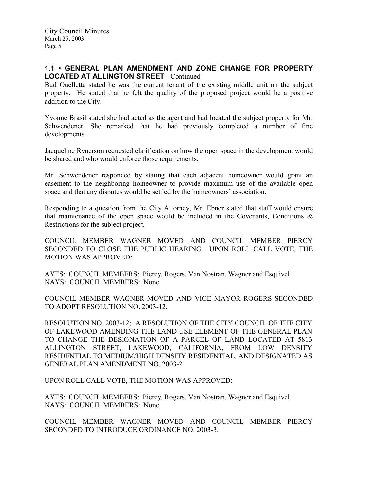# 1.1 • GENERAL PLAN AMENDMENT AND ZONE CHANGE FOR PROPERTY LOCATED AT ALLINGTON STREET - Continued

Bud Ouellette stated he was the current tenant of the existing middle unit on the subject property. He stated that he felt the quality of the proposed project would be a positive addition to the City.

Yvonne Brasil stated she had acted as the agent and had located the subject property for Mr. Schwendener. She remarked that he had previously completed a number of fine developments.

Jacqueline Rynerson requested clarification on how the open space in the development would be shared and who would enforce those requirements.

Mr. Schwendener responded by stating that each adjacent homeowner would grant an easement to the neighboring homeowner to provide maximum use of the available open space and that any disputes would be settled by the homeowners' association.

Responding to a question from the City Attorney, Mr. Ebner stated that staff would ensure that maintenance of the open space would be included in the Covenants, Conditions  $\&$ Restrictions for the subject project.

COUNCIL MEMBER WAGNER MOVED AND COUNCIL MEMBER PIERCY SECONDED TO CLOSE THE PUBLIC HEARING. UPON ROLL CALL VOTE, THE MOTION WAS APPROVED:

AYES: COUNCIL MEMBERS: Piercy, Rogers, Van Nostran, Wagner and Esquivel NAYS: COUNCIL MEMBERS: None

COUNCIL MEMBER WAGNER MOVED AND VICE MAYOR ROGERS SECONDED TO ADOPT RESOLUTION NO. 2003-12.

RESOLUTION NO. 2003-12; A RESOLUTION OF THE CITY COUNCIL OF THE CITY OF LAKEWOOD AMENDING THE LAND USE ELEMENT OF THE GENERAL PLAN TO CHANGE THE DESIGNATION OF A PARCEL OF LAND LOCATED AT 5813 ALLINGTON STREET, LAKEWOOD, CALIFORNIA, FROM LOW DENSITY RESIDENTIAL TO MEDIUM/HIGH DENSITY RESIDENTIAL, AND DESIGNATED AS GENERAL PLAN AMENDMENT NO. 2003-2

UPON ROLL CALL VOTE, THE MOTION WAS APPROVED:

AYES: COUNCIL MEMBERS: Piercy, Rogers, Van Nostran, Wagner and Esquivel NAYS: COUNCIL MEMBERS: None

COUNCIL MEMBER WAGNER MOVED AND COUNCIL MEMBER PIERCY SECONDED TO INTRODUCE ORDINANCE NO. 2003-3.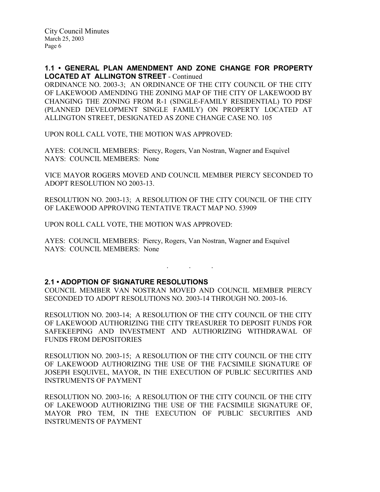1.1 • GENERAL PLAN AMENDMENT AND ZONE CHANGE FOR PROPERTY LOCATED AT ALLINGTON STREET - Continued

ORDINANCE NO. 2003-3; AN ORDINANCE OF THE CITY COUNCIL OF THE CITY OF LAKEWOOD AMENDING THE ZONING MAP OF THE CITY OF LAKEWOOD BY CHANGING THE ZONING FROM R-1 (SINGLE-FAMILY RESIDENTIAL) TO PDSF (PLANNED DEVELOPMENT SINGLE FAMILY) ON PROPERTY LOCATED AT ALLINGTON STREET, DESIGNATED AS ZONE CHANGE CASE NO. 105

UPON ROLL CALL VOTE, THE MOTION WAS APPROVED:

AYES: COUNCIL MEMBERS: Piercy, Rogers, Van Nostran, Wagner and Esquivel NAYS: COUNCIL MEMBERS: None

VICE MAYOR ROGERS MOVED AND COUNCIL MEMBER PIERCY SECONDED TO ADOPT RESOLUTION NO 2003-13.

RESOLUTION NO. 2003-13; A RESOLUTION OF THE CITY COUNCIL OF THE CITY OF LAKEWOOD APPROVING TENTATIVE TRACT MAP NO. 53909

UPON ROLL CALL VOTE, THE MOTION WAS APPROVED:

AYES: COUNCIL MEMBERS: Piercy, Rogers, Van Nostran, Wagner and Esquivel NAYS: COUNCIL MEMBERS: None

## 2.1 • ADOPTION OF SIGNATURE RESOLUTIONS

COUNCIL MEMBER VAN NOSTRAN MOVED AND COUNCIL MEMBER PIERCY SECONDED TO ADOPT RESOLUTIONS NO. 2003-14 THROUGH NO. 2003-16.

. . .

RESOLUTION NO. 2003-14; A RESOLUTION OF THE CITY COUNCIL OF THE CITY OF LAKEWOOD AUTHORIZING THE CITY TREASURER TO DEPOSIT FUNDS FOR SAFEKEEPING AND INVESTMENT AND AUTHORIZING WITHDRAWAL OF FUNDS FROM DEPOSITORIES

RESOLUTION NO. 2003-15; A RESOLUTION OF THE CITY COUNCIL OF THE CITY OF LAKEWOOD AUTHORIZING THE USE OF THE FACSIMILE SIGNATURE OF JOSEPH ESQUIVEL, MAYOR, IN THE EXECUTION OF PUBLIC SECURITIES AND INSTRUMENTS OF PAYMENT

RESOLUTION NO. 2003-16; A RESOLUTION OF THE CITY COUNCIL OF THE CITY OF LAKEWOOD AUTHORIZING THE USE OF THE FACSIMILE SIGNATURE OF, MAYOR PRO TEM, IN THE EXECUTION OF PUBLIC SECURITIES AND INSTRUMENTS OF PAYMENT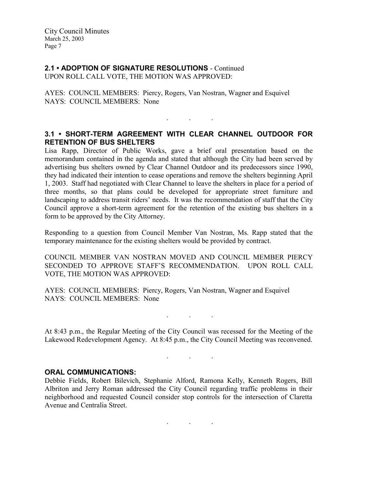# 2.1 • ADOPTION OF SIGNATURE RESOLUTIONS - Continued

UPON ROLL CALL VOTE, THE MOTION WAS APPROVED:

AYES: COUNCIL MEMBERS: Piercy, Rogers, Van Nostran, Wagner and Esquivel NAYS: COUNCIL MEMBERS: None

# 3.1 • SHORT-TERM AGREEMENT WITH CLEAR CHANNEL OUTDOOR FOR RETENTION OF BUS SHELTERS

. . .

Lisa Rapp, Director of Public Works, gave a brief oral presentation based on the memorandum contained in the agenda and stated that although the City had been served by advertising bus shelters owned by Clear Channel Outdoor and its predecessors since 1990, they had indicated their intention to cease operations and remove the shelters beginning April 1, 2003. Staff had negotiated with Clear Channel to leave the shelters in place for a period of three months, so that plans could be developed for appropriate street furniture and landscaping to address transit riders' needs. It was the recommendation of staff that the City Council approve a short-term agreement for the retention of the existing bus shelters in a form to be approved by the City Attorney.

Responding to a question from Council Member Van Nostran, Ms. Rapp stated that the temporary maintenance for the existing shelters would be provided by contract.

COUNCIL MEMBER VAN NOSTRAN MOVED AND COUNCIL MEMBER PIERCY SECONDED TO APPROVE STAFF'S RECOMMENDATION. UPON ROLL CALL VOTE, THE MOTION WAS APPROVED:

AYES: COUNCIL MEMBERS: Piercy, Rogers, Van Nostran, Wagner and Esquivel NAYS: COUNCIL MEMBERS: None

. . .

At 8:43 p.m., the Regular Meeting of the City Council was recessed for the Meeting of the Lakewood Redevelopment Agency. At 8:45 p.m., the City Council Meeting was reconvened.

. . .

## ORAL COMMUNICATIONS:

Debbie Fields, Robert Bilevich, Stephanie Alford, Ramona Kelly, Kenneth Rogers, Bill Albriton and Jerry Roman addressed the City Council regarding traffic problems in their neighborhood and requested Council consider stop controls for the intersection of Claretta Avenue and Centralia Street.

 $\mathbf{r}$  .  $\mathbf{r}$  ,  $\mathbf{r}$  ,  $\mathbf{r}$  ,  $\mathbf{r}$  ,  $\mathbf{r}$  ,  $\mathbf{r}$  ,  $\mathbf{r}$